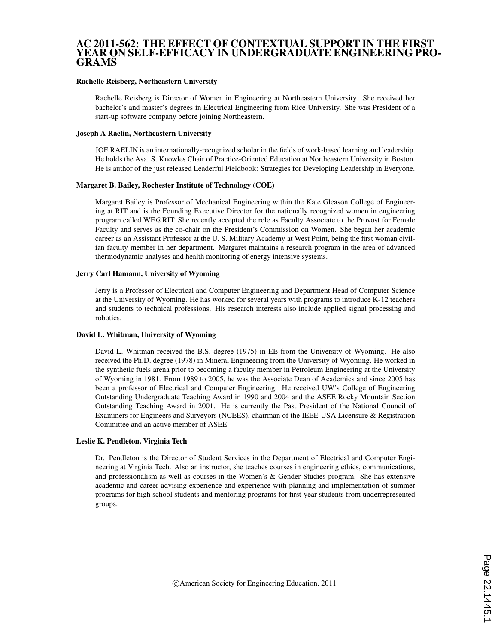#### AC 2011-562: THE EFFECT OF CONTEXTUAL SUPPORT IN THE FIRST YEAR ON SELF-EFFICACY IN UNDERGRADUATE ENGINEERING PRO-GRAMS

#### Rachelle Reisberg, Northeastern University

Rachelle Reisberg is Director of Women in Engineering at Northeastern University. She received her bachelor's and master's degrees in Electrical Engineering from Rice University. She was President of a start-up software company before joining Northeastern.

#### Joseph A Raelin, Northeastern University

JOE RAELIN is an internationally-recognized scholar in the fields of work-based learning and leadership. He holds the Asa. S. Knowles Chair of Practice-Oriented Education at Northeastern University in Boston. He is author of the just released Leaderful Fieldbook: Strategies for Developing Leadership in Everyone.

#### Margaret B. Bailey, Rochester Institute of Technology (COE)

Margaret Bailey is Professor of Mechanical Engineering within the Kate Gleason College of Engineering at RIT and is the Founding Executive Director for the nationally recognized women in engineering program called WE@RIT. She recently accepted the role as Faculty Associate to the Provost for Female Faculty and serves as the co-chair on the President's Commission on Women. She began her academic career as an Assistant Professor at the U. S. Military Academy at West Point, being the first woman civilian faculty member in her department. Margaret maintains a research program in the area of advanced thermodynamic analyses and health monitoring of energy intensive systems.

#### Jerry Carl Hamann, University of Wyoming

Jerry is a Professor of Electrical and Computer Engineering and Department Head of Computer Science at the University of Wyoming. He has worked for several years with programs to introduce K-12 teachers and students to technical professions. His research interests also include applied signal processing and robotics.

#### David L. Whitman, University of Wyoming

David L. Whitman received the B.S. degree (1975) in EE from the University of Wyoming. He also received the Ph.D. degree (1978) in Mineral Engineering from the University of Wyoming. He worked in the synthetic fuels arena prior to becoming a faculty member in Petroleum Engineering at the University of Wyoming in 1981. From 1989 to 2005, he was the Associate Dean of Academics and since 2005 has been a professor of Electrical and Computer Engineering. He received UW's College of Engineering Outstanding Undergraduate Teaching Award in 1990 and 2004 and the ASEE Rocky Mountain Section Outstanding Teaching Award in 2001. He is currently the Past President of the National Council of Examiners for Engineers and Surveyors (NCEES), chairman of the IEEE-USA Licensure & Registration Committee and an active member of ASEE.

#### Leslie K. Pendleton, Virginia Tech

Dr. Pendleton is the Director of Student Services in the Department of Electrical and Computer Engineering at Virginia Tech. Also an instructor, she teaches courses in engineering ethics, communications, and professionalism as well as courses in the Women's & Gender Studies program. She has extensive academic and career advising experience and experience with planning and implementation of summer programs for high school students and mentoring programs for first-year students from underrepresented groups.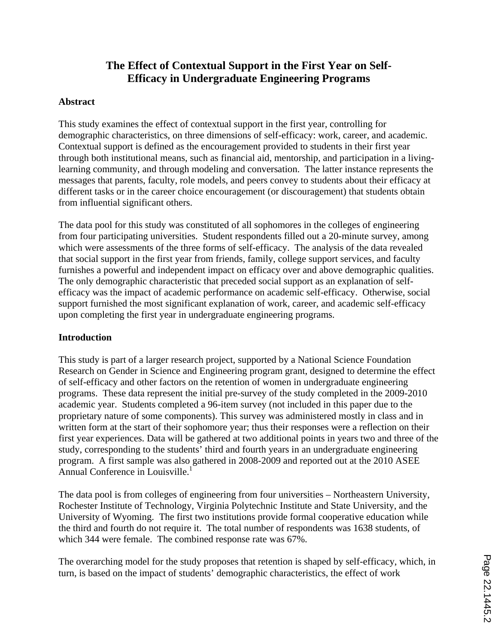# **The Effect of Contextual Support in the First Year on Self-Efficacy in Undergraduate Engineering Programs**

### **Abstract**

This study examines the effect of contextual support in the first year, controlling for demographic characteristics, on three dimensions of self-efficacy: work, career, and academic. Contextual support is defined as the encouragement provided to students in their first year through both institutional means, such as financial aid, mentorship, and participation in a livinglearning community, and through modeling and conversation. The latter instance represents the messages that parents, faculty, role models, and peers convey to students about their efficacy at different tasks or in the career choice encouragement (or discouragement) that students obtain from influential significant others.

The data pool for this study was constituted of all sophomores in the colleges of engineering from four participating universities. Student respondents filled out a 20-minute survey, among which were assessments of the three forms of self-efficacy. The analysis of the data revealed that social support in the first year from friends, family, college support services, and faculty furnishes a powerful and independent impact on efficacy over and above demographic qualities. The only demographic characteristic that preceded social support as an explanation of selfefficacy was the impact of academic performance on academic self-efficacy. Otherwise, social support furnished the most significant explanation of work, career, and academic self-efficacy upon completing the first year in undergraduate engineering programs.

### **Introduction**

This study is part of a larger research project, supported by a National Science Foundation Research on Gender in Science and Engineering program grant, designed to determine the effect of self-efficacy and other factors on the retention of women in undergraduate engineering programs. These data represent the initial pre-survey of the study completed in the 2009-2010 academic year. Students completed a 96-item survey (not included in this paper due to the proprietary nature of some components). This survey was administered mostly in class and in written form at the start of their sophomore year; thus their responses were a reflection on their first year experiences. Data will be gathered at two additional points in years two and three of the study, corresponding to the students' third and fourth years in an undergraduate engineering program. A first sample was also gathered in 2008-2009 and reported out at the 2010 ASEE Annual Conference in Louisville.<sup>1</sup>

The data pool is from colleges of engineering from four universities – Northeastern University, Rochester Institute of Technology, Virginia Polytechnic Institute and State University, and the University of Wyoming. The first two institutions provide formal cooperative education while the third and fourth do not require it. The total number of respondents was 1638 students, of which 344 were female. The combined response rate was 67%.

The overarching model for the study proposes that retention is shaped by self-efficacy, which, in turn, is based on the impact of students' demographic characteristics, the effect of work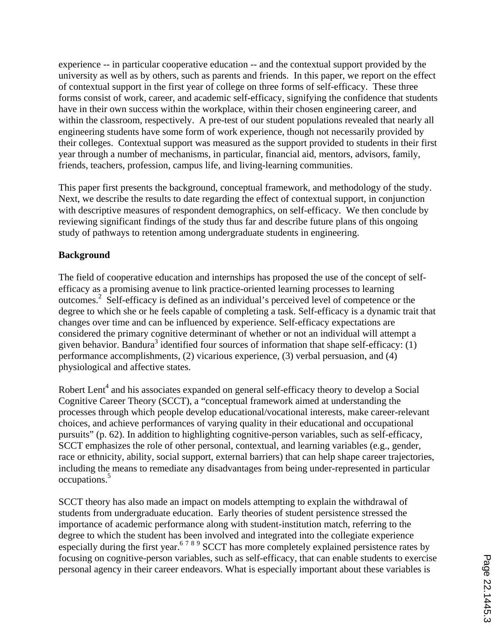experience -- in particular cooperative education -- and the contextual support provided by the university as well as by others, such as parents and friends. In this paper, we report on the effect of contextual support in the first year of college on three forms of self-efficacy. These three forms consist of work, career, and academic self-efficacy, signifying the confidence that students have in their own success within the workplace, within their chosen engineering career, and within the classroom, respectively. A pre-test of our student populations revealed that nearly all engineering students have some form of work experience, though not necessarily provided by their colleges. Contextual support was measured as the support provided to students in their first year through a number of mechanisms, in particular, financial aid, mentors, advisors, family, friends, teachers, profession, campus life, and living-learning communities.

This paper first presents the background, conceptual framework, and methodology of the study. Next, we describe the results to date regarding the effect of contextual support, in conjunction with descriptive measures of respondent demographics, on self-efficacy. We then conclude by reviewing significant findings of the study thus far and describe future plans of this ongoing study of pathways to retention among undergraduate students in engineering.

## **Background**

The field of cooperative education and internships has proposed the use of the concept of selfefficacy as a promising avenue to link practice-oriented learning processes to learning outcomes.2 Self-efficacy is defined as an individual's perceived level of competence or the degree to which she or he feels capable of completing a task. Self-efficacy is a dynamic trait that changes over time and can be influenced by experience. Self-efficacy expectations are considered the primary cognitive determinant of whether or not an individual will attempt a given behavior. Bandura<sup>3</sup> identified four sources of information that shape self-efficacy: (1) performance accomplishments, (2) vicarious experience, (3) verbal persuasion, and (4) physiological and affective states.

Robert Lent<sup>4</sup> and his associates expanded on general self-efficacy theory to develop a Social Cognitive Career Theory (SCCT), a "conceptual framework aimed at understanding the processes through which people develop educational/vocational interests, make career-relevant choices, and achieve performances of varying quality in their educational and occupational pursuits" (p. 62). In addition to highlighting cognitive-person variables, such as self-efficacy, SCCT emphasizes the role of other personal, contextual, and learning variables (e.g., gender, race or ethnicity, ability, social support, external barriers) that can help shape career trajectories, including the means to remediate any disadvantages from being under-represented in particular occupations.5

SCCT theory has also made an impact on models attempting to explain the withdrawal of students from undergraduate education. Early theories of student persistence stressed the importance of academic performance along with student-institution match, referring to the degree to which the student has been involved and integrated into the collegiate experience especially during the first year.<sup>6789</sup> SCCT has more completely explained persistence rates by focusing on cognitive-person variables, such as self-efficacy, that can enable students to exercise personal agency in their career endeavors. What is especially important about these variables is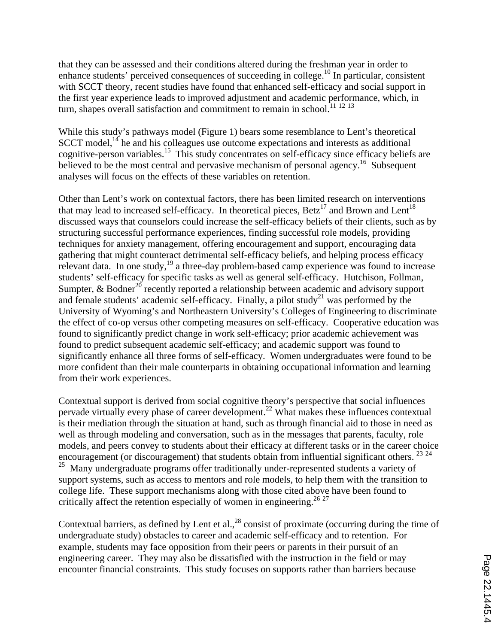that they can be assessed and their conditions altered during the freshman year in order to enhance students' perceived consequences of succeeding in college.<sup>10</sup> In particular, consistent with SCCT theory, recent studies have found that enhanced self-efficacy and social support in the first year experience leads to improved adjustment and academic performance, which, in turn, shapes overall satisfaction and commitment to remain in school.<sup>11 12 13</sup>

While this study's pathways model (Figure 1) bears some resemblance to Lent's theoretical  $SCCT \text{ model}^{14}$  he and his colleagues use outcome expectations and interests as additional cognitive-person variables.<sup>15</sup> This study concentrates on self-efficacy since efficacy beliefs are believed to be the most central and pervasive mechanism of personal agency.<sup>16</sup> Subsequent analyses will focus on the effects of these variables on retention.

Other than Lent's work on contextual factors, there has been limited research on interventions that may lead to increased self-efficacy. In theoretical pieces,  $\text{Beta}^{17}$  and Brown and Lent<sup>18</sup> discussed ways that counselors could increase the self-efficacy beliefs of their clients, such as by structuring successful performance experiences, finding successful role models, providing techniques for anxiety management, offering encouragement and support, encouraging data gathering that might counteract detrimental self-efficacy beliefs, and helping process efficacy relevant data. In one study,<sup>19</sup> a three-day problem-based camp experience was found to increase students' self-efficacy for specific tasks as well as general self-efficacy. Hutchison, Follman, Sumpter,  $\&$  Bodner<sup>20</sup> recently reported a relationship between academic and advisory support and female students' academic self-efficacy. Finally, a pilot study<sup>21</sup> was performed by the University of Wyoming's and Northeastern University's Colleges of Engineering to discriminate the effect of co-op versus other competing measures on self-efficacy. Cooperative education was found to significantly predict change in work self-efficacy; prior academic achievement was found to predict subsequent academic self-efficacy; and academic support was found to significantly enhance all three forms of self-efficacy. Women undergraduates were found to be more confident than their male counterparts in obtaining occupational information and learning from their work experiences.

Contextual support is derived from social cognitive theory's perspective that social influences pervade virtually every phase of career development.22 What makes these influences contextual is their mediation through the situation at hand, such as through financial aid to those in need as well as through modeling and conversation, such as in the messages that parents, faculty, role models, and peers convey to students about their efficacy at different tasks or in the career choice encouragement (or discouragement) that students obtain from influential significant others. <sup>23 24</sup> <sup>25</sup> Many undergraduate programs offer traditionally under-represented students a variety of support systems, such as access to mentors and role models, to help them with the transition to college life. These support mechanisms along with those cited above have been found to critically affect the retention especially of women in engineering.<sup>26,27</sup>

Contextual barriers, as defined by Lent et al.,<sup>28</sup> consist of proximate (occurring during the time of undergraduate study) obstacles to career and academic self-efficacy and to retention. For example, students may face opposition from their peers or parents in their pursuit of an engineering career. They may also be dissatisfied with the instruction in the field or may encounter financial constraints. This study focuses on supports rather than barriers because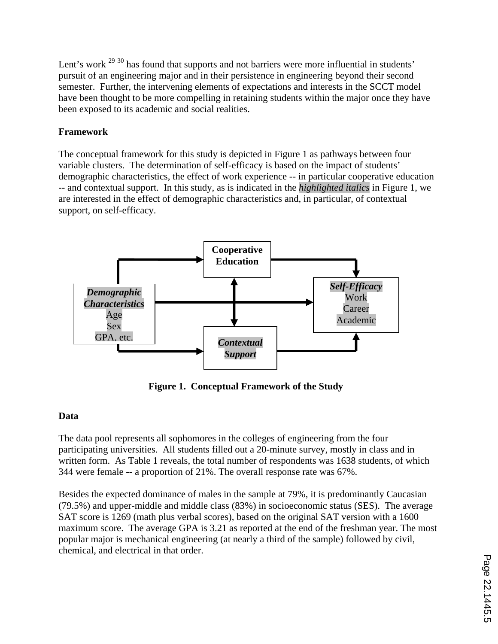Lent's work <sup>29 30</sup> has found that supports and not barriers were more influential in students' pursuit of an engineering major and in their persistence in engineering beyond their second semester. Further, the intervening elements of expectations and interests in the SCCT model have been thought to be more compelling in retaining students within the major once they have been exposed to its academic and social realities.

## **Framework**

The conceptual framework for this study is depicted in Figure 1 as pathways between four variable clusters. The determination of self-efficacy is based on the impact of students' demographic characteristics, the effect of work experience -- in particular cooperative education -- and contextual support. In this study, as is indicated in the *highlighted italics* in Figure 1, we are interested in the effect of demographic characteristics and, in particular, of contextual support, on self-efficacy.



**Figure 1. Conceptual Framework of the Study** 

## **Data**

The data pool represents all sophomores in the colleges of engineering from the four participating universities. All students filled out a 20-minute survey, mostly in class and in written form. As Table 1 reveals, the total number of respondents was 1638 students, of which 344 were female -- a proportion of 21%. The overall response rate was 67%.

Besides the expected dominance of males in the sample at 79%, it is predominantly Caucasian (79.5%) and upper-middle and middle class (83%) in socioeconomic status (SES). The average SAT score is 1269 (math plus verbal scores), based on the original SAT version with a 1600 maximum score. The average GPA is 3.21 as reported at the end of the freshman year. The most popular major is mechanical engineering (at nearly a third of the sample) followed by civil, chemical, and electrical in that order.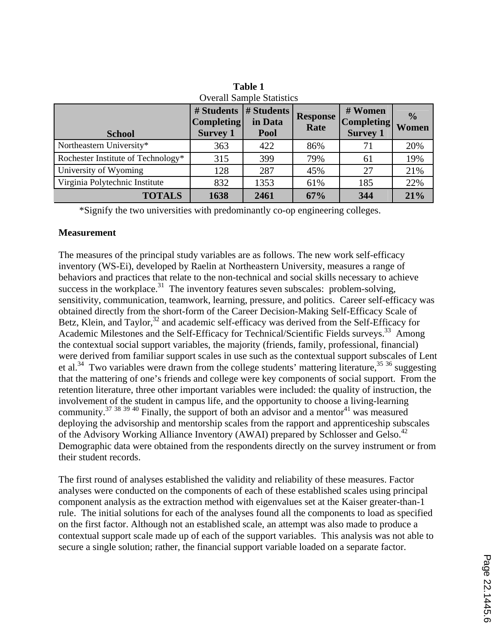| <b>Overall Sample Statistics</b>   |                                                    |                               |                         |                                                 |                        |
|------------------------------------|----------------------------------------------------|-------------------------------|-------------------------|-------------------------------------------------|------------------------|
| <b>School</b>                      | # Students<br><b>Completing</b><br><b>Survey 1</b> | # Students<br>in Data<br>Pool | <b>Response</b><br>Rate | # Women<br><b>Completing</b><br><b>Survey 1</b> | $\frac{0}{0}$<br>Women |
| Northeastern University*           | 363                                                | 422                           | 86%                     | 71                                              | 20%                    |
| Rochester Institute of Technology* | 315                                                | 399                           | 79%                     | 61                                              | 19%                    |
| University of Wyoming              | 128                                                | 287                           | 45%                     | 27                                              | 21%                    |
| Virginia Polytechnic Institute     | 832                                                | 1353                          | 61%                     | 185                                             | 22%                    |
| <b>TOTALS</b>                      | 1638                                               | 2461                          | 67%                     | 344                                             | 21%                    |

**Table 1** 

\*Signify the two universities with predominantly co-op engineering colleges.

#### **Measurement**

The measures of the principal study variables are as follows. The new work self-efficacy inventory (WS-Ei), developed by Raelin at Northeastern University, measures a range of behaviors and practices that relate to the non-technical and social skills necessary to achieve success in the workplace.<sup>31</sup> The inventory features seven subscales: problem-solving, sensitivity, communication, teamwork, learning, pressure, and politics. Career self-efficacy was obtained directly from the short-form of the Career Decision-Making Self-Efficacy Scale of Betz, Klein, and Taylor,<sup>32</sup> and academic self-efficacy was derived from the Self-Efficacy for Academic Milestones and the Self-Efficacy for Technical/Scientific Fields surveys.<sup>33</sup> Among the contextual social support variables, the majority (friends, family, professional, financial) were derived from familiar support scales in use such as the contextual support subscales of Lent et al.<sup>34</sup> Two variables were drawn from the college students' mattering literature,  $35\frac{36}{12}$  suggesting that the mattering of one's friends and college were key components of social support. From the retention literature, three other important variables were included: the quality of instruction, the involvement of the student in campus life, and the opportunity to choose a living-learning community.<sup>37 38 39 40</sup> Finally, the support of both an advisor and a mentor<sup>41</sup> was measured deploying the advisorship and mentorship scales from the rapport and apprenticeship subscales of the Advisory Working Alliance Inventory (AWAI) prepared by Schlosser and Gelso.<sup>42</sup> Demographic data were obtained from the respondents directly on the survey instrument or from their student records.

The first round of analyses established the validity and reliability of these measures. Factor analyses were conducted on the components of each of these established scales using principal component analysis as the extraction method with eigenvalues set at the Kaiser greater-than-1 rule. The initial solutions for each of the analyses found all the components to load as specified on the first factor. Although not an established scale, an attempt was also made to produce a contextual support scale made up of each of the support variables. This analysis was not able to secure a single solution; rather, the financial support variable loaded on a separate factor.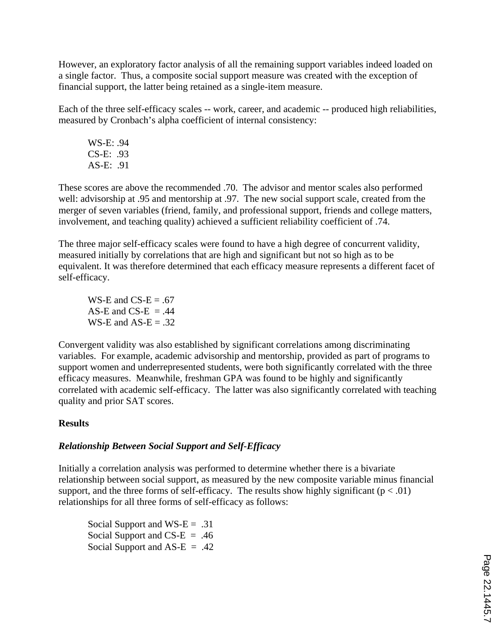However, an exploratory factor analysis of all the remaining support variables indeed loaded on a single factor. Thus, a composite social support measure was created with the exception of financial support, the latter being retained as a single-item measure.

Each of the three self-efficacy scales -- work, career, and academic -- produced high reliabilities, measured by Cronbach's alpha coefficient of internal consistency:

WS-E: .94 CS-E: .93 AS-E: .91

These scores are above the recommended .70. The advisor and mentor scales also performed well: advisorship at .95 and mentorship at .97. The new social support scale, created from the merger of seven variables (friend, family, and professional support, friends and college matters, involvement, and teaching quality) achieved a sufficient reliability coefficient of .74.

The three major self-efficacy scales were found to have a high degree of concurrent validity, measured initially by correlations that are high and significant but not so high as to be equivalent. It was therefore determined that each efficacy measure represents a different facet of self-efficacy.

WS-E and  $CS-E = .67$ AS-E and CS-E  $= .44$ WS-E and  $AS-E = .32$ 

Convergent validity was also established by significant correlations among discriminating variables. For example, academic advisorship and mentorship, provided as part of programs to support women and underrepresented students, were both significantly correlated with the three efficacy measures. Meanwhile, freshman GPA was found to be highly and significantly correlated with academic self-efficacy. The latter was also significantly correlated with teaching quality and prior SAT scores.

## **Results**

## *Relationship Between Social Support and Self-Efficacy*

Initially a correlation analysis was performed to determine whether there is a bivariate relationship between social support, as measured by the new composite variable minus financial support, and the three forms of self-efficacy. The results show highly significant ( $p < .01$ ) relationships for all three forms of self-efficacy as follows:

Social Support and WS- $E = .31$ Social Support and  $CS-E = .46$ Social Support and  $AS-E = .42$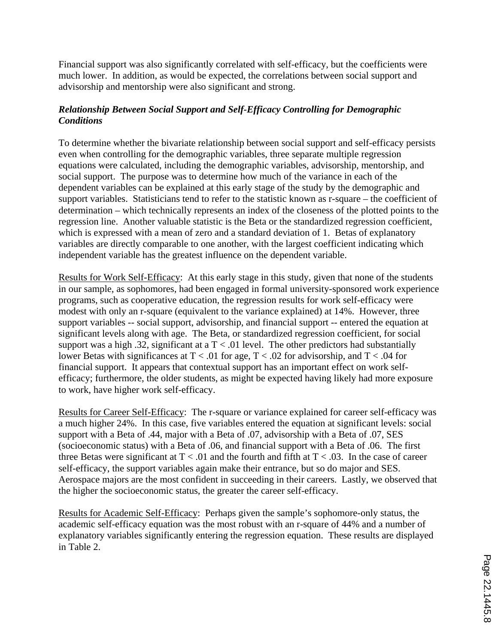Financial support was also significantly correlated with self-efficacy, but the coefficients were much lower. In addition, as would be expected, the correlations between social support and advisorship and mentorship were also significant and strong.

## *Relationship Between Social Support and Self-Efficacy Controlling for Demographic Conditions*

To determine whether the bivariate relationship between social support and self-efficacy persists even when controlling for the demographic variables, three separate multiple regression equations were calculated, including the demographic variables, advisorship, mentorship, and social support. The purpose was to determine how much of the variance in each of the dependent variables can be explained at this early stage of the study by the demographic and support variables. Statisticians tend to refer to the statistic known as r-square – the coefficient of determination – which technically represents an index of the closeness of the plotted points to the regression line. Another valuable statistic is the Beta or the standardized regression coefficient, which is expressed with a mean of zero and a standard deviation of 1. Betas of explanatory variables are directly comparable to one another, with the largest coefficient indicating which independent variable has the greatest influence on the dependent variable.

Results for Work Self-Efficacy: At this early stage in this study, given that none of the students in our sample, as sophomores, had been engaged in formal university-sponsored work experience programs, such as cooperative education, the regression results for work self-efficacy were modest with only an r-square (equivalent to the variance explained) at 14%. However, three support variables -- social support, advisorship, and financial support -- entered the equation at significant levels along with age. The Beta, or standardized regression coefficient, for social support was a high .32, significant at a  $T < .01$  level. The other predictors had substantially lower Betas with significances at  $T < .01$  for age,  $T < .02$  for advisorship, and  $T < .04$  for financial support. It appears that contextual support has an important effect on work selfefficacy; furthermore, the older students, as might be expected having likely had more exposure to work, have higher work self-efficacy.

Results for Career Self-Efficacy: The r-square or variance explained for career self-efficacy was a much higher 24%. In this case, five variables entered the equation at significant levels: social support with a Beta of .44, major with a Beta of .07, advisorship with a Beta of .07, SES (socioeconomic status) with a Beta of .06, and financial support with a Beta of .06. The first three Betas were significant at  $T < .01$  and the fourth and fifth at  $T < .03$ . In the case of career self-efficacy, the support variables again make their entrance, but so do major and SES. Aerospace majors are the most confident in succeeding in their careers. Lastly, we observed that the higher the socioeconomic status, the greater the career self-efficacy.

Results for Academic Self-Efficacy: Perhaps given the sample's sophomore-only status, the academic self-efficacy equation was the most robust with an r-square of 44% and a number of explanatory variables significantly entering the regression equation. These results are displayed in Table 2.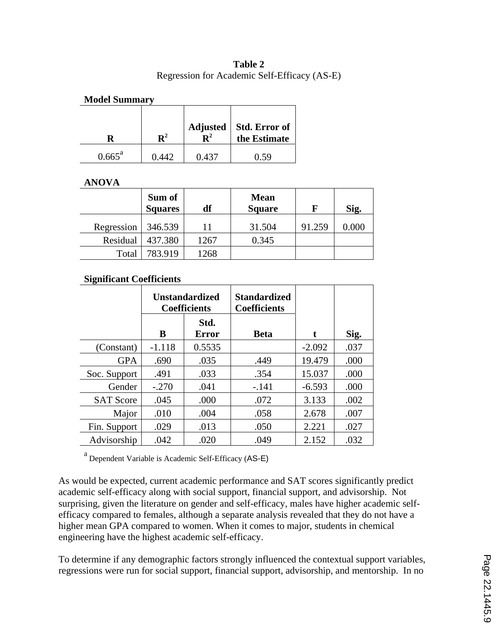### **Table 2** Regression for Academic Self-Efficacy (AS-E)

## **Model Summary**

|                    | ${\bf D}^2$ |       | Adjusted Std. Error of $R^2$ the Estimate |
|--------------------|-------------|-------|-------------------------------------------|
| $0.665^{\text{a}}$ | 0.442       | 0.437 |                                           |

#### **ANOVA**

|            | Sum of<br><b>Squares</b> | df   | <b>Mean</b><br><b>Square</b> | F      | Sig.  |
|------------|--------------------------|------|------------------------------|--------|-------|
| Regression | 346.539                  | 11   | 31.504                       | 91.259 | 0.000 |
| Residual   | 437.380                  | 1267 | 0.345                        |        |       |
| Total      | 783.919                  | 1268 |                              |        |       |

### **Significant Coefficients**

|                  | <b>Unstandardized</b><br><b>Coefficients</b> |               | <b>Standardized</b><br><b>Coefficients</b> |          |      |
|------------------|----------------------------------------------|---------------|--------------------------------------------|----------|------|
|                  | B                                            | Std.<br>Error | <b>Beta</b>                                | t        | Sig. |
| (Constant)       | $-1.118$                                     | 0.5535        |                                            | $-2.092$ | .037 |
| <b>GPA</b>       | .690                                         | .035          | .449                                       | 19.479   | .000 |
| Soc. Support     | .491                                         | .033          | .354                                       | 15.037   | .000 |
| Gender           | $-.270$                                      | .041          | $-.141$                                    | $-6.593$ | .000 |
| <b>SAT Score</b> | .045                                         | .000          | .072                                       | 3.133    | .002 |
| Major            | .010                                         | .004          | .058                                       | 2.678    | .007 |
| Fin. Support     | .029                                         | .013          | .050                                       | 2.221    | .027 |
| Advisorship      | .042                                         | .020          | .049                                       | 2.152    | .032 |

a Dependent Variable is Academic Self-Efficacy (AS-E)

As would be expected, current academic performance and SAT scores significantly predict academic self-efficacy along with social support, financial support, and advisorship. Not surprising, given the literature on gender and self-efficacy, males have higher academic selfefficacy compared to females, although a separate analysis revealed that they do not have a higher mean GPA compared to women. When it comes to major, students in chemical engineering have the highest academic self-efficacy.

To determine if any demographic factors strongly influenced the contextual support variables, regressions were run for social support, financial support, advisorship, and mentorship. In no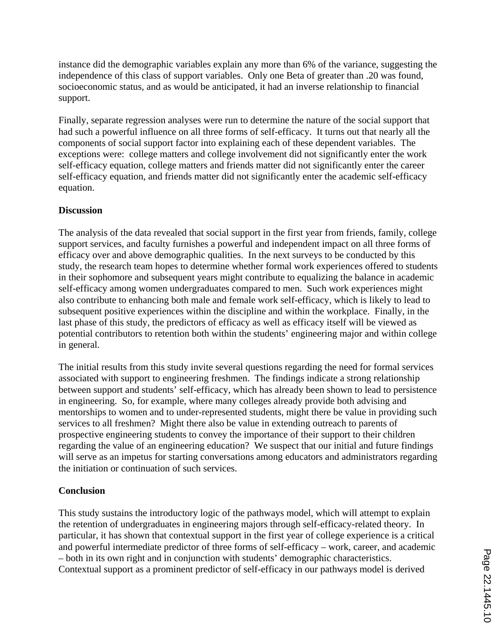instance did the demographic variables explain any more than 6% of the variance, suggesting the independence of this class of support variables. Only one Beta of greater than .20 was found, socioeconomic status, and as would be anticipated, it had an inverse relationship to financial support.

Finally, separate regression analyses were run to determine the nature of the social support that had such a powerful influence on all three forms of self-efficacy. It turns out that nearly all the components of social support factor into explaining each of these dependent variables. The exceptions were: college matters and college involvement did not significantly enter the work self-efficacy equation, college matters and friends matter did not significantly enter the career self-efficacy equation, and friends matter did not significantly enter the academic self-efficacy equation.

### **Discussion**

The analysis of the data revealed that social support in the first year from friends, family, college support services, and faculty furnishes a powerful and independent impact on all three forms of efficacy over and above demographic qualities. In the next surveys to be conducted by this study, the research team hopes to determine whether formal work experiences offered to students in their sophomore and subsequent years might contribute to equalizing the balance in academic self-efficacy among women undergraduates compared to men. Such work experiences might also contribute to enhancing both male and female work self-efficacy, which is likely to lead to subsequent positive experiences within the discipline and within the workplace. Finally, in the last phase of this study, the predictors of efficacy as well as efficacy itself will be viewed as potential contributors to retention both within the students' engineering major and within college in general.

The initial results from this study invite several questions regarding the need for formal services associated with support to engineering freshmen. The findings indicate a strong relationship between support and students' self-efficacy, which has already been shown to lead to persistence in engineering. So, for example, where many colleges already provide both advising and mentorships to women and to under-represented students, might there be value in providing such services to all freshmen? Might there also be value in extending outreach to parents of prospective engineering students to convey the importance of their support to their children regarding the value of an engineering education? We suspect that our initial and future findings will serve as an impetus for starting conversations among educators and administrators regarding the initiation or continuation of such services.

### **Conclusion**

This study sustains the introductory logic of the pathways model, which will attempt to explain the retention of undergraduates in engineering majors through self-efficacy-related theory. In particular, it has shown that contextual support in the first year of college experience is a critical and powerful intermediate predictor of three forms of self-efficacy – work, career, and academic – both in its own right and in conjunction with students' demographic characteristics. Contextual support as a prominent predictor of self-efficacy in our pathways model is derived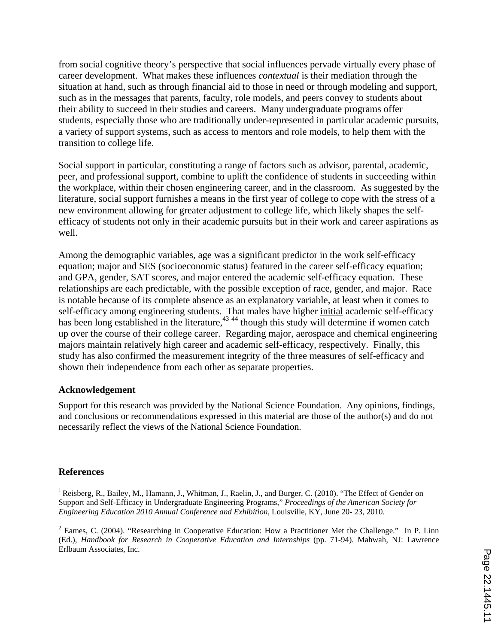from social cognitive theory's perspective that social influences pervade virtually every phase of career development. What makes these influences *contextual* is their mediation through the situation at hand, such as through financial aid to those in need or through modeling and support, such as in the messages that parents, faculty, role models, and peers convey to students about their ability to succeed in their studies and careers. Many undergraduate programs offer students, especially those who are traditionally under-represented in particular academic pursuits, a variety of support systems, such as access to mentors and role models, to help them with the transition to college life.

Social support in particular, constituting a range of factors such as advisor, parental, academic, peer, and professional support, combine to uplift the confidence of students in succeeding within the workplace, within their chosen engineering career, and in the classroom. As suggested by the literature, social support furnishes a means in the first year of college to cope with the stress of a new environment allowing for greater adjustment to college life, which likely shapes the selfefficacy of students not only in their academic pursuits but in their work and career aspirations as well.

Among the demographic variables, age was a significant predictor in the work self-efficacy equation; major and SES (socioeconomic status) featured in the career self-efficacy equation; and GPA, gender, SAT scores, and major entered the academic self-efficacy equation. These relationships are each predictable, with the possible exception of race, gender, and major. Race is notable because of its complete absence as an explanatory variable, at least when it comes to self-efficacy among engineering students. That males have higher *initial* academic self-efficacy has been long established in the literature,<sup>43 44</sup> though this study will determine if women catch up over the course of their college career. Regarding major, aerospace and chemical engineering majors maintain relatively high career and academic self-efficacy, respectively. Finally, this study has also confirmed the measurement integrity of the three measures of self-efficacy and shown their independence from each other as separate properties.

### **Acknowledgement**

Support for this research was provided by the National Science Foundation. Any opinions, findings, and conclusions or recommendations expressed in this material are those of the author(s) and do not necessarily reflect the views of the National Science Foundation.

### **References**

<sup>1</sup> Reisberg, R., Bailey, M., Hamann, J., Whitman, J., Raelin, J., and Burger, C. (2010). "The Effect of Gender on Support and Self-Efficacy in Undergraduate Engineering Programs," *Proceedings of the American Society for Engineering Education 2010 Annual Conference and Exhibition*, Louisville, KY, June 20- 23, 2010.

 $2$  Eames, C. (2004). "Researching in Cooperative Education: How a Practitioner Met the Challenge." In P. Linn (Ed.), *Handbook for Research in Cooperative Education and Internships* (pp. 71-94). Mahwah, NJ: Lawrence Erlbaum Associates, Inc.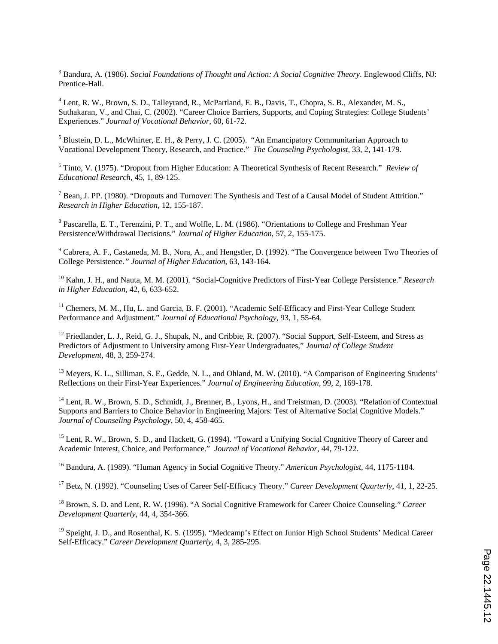3 Bandura, A. (1986). *Social Foundations of Thought and Action: A Social Cognitive Theory*. Englewood Cliffs, NJ: Prentice-Hall.

<sup>4</sup> Lent, R. W., Brown, S. D., Talleyrand, R., McPartland, E. B., Davis, T., Chopra, S. B., Alexander, M. S., Suthakaran, V., and Chai, C. (2002). "Career Choice Barriers, Supports, and Coping Strategies: College Students' Experiences." *Journal of Vocational Behavior*, 60, 61-72.

<sup>5</sup> Blustein, D. L., McWhirter, E. H., & Perry, J. C. (2005). "An Emancipatory Communitarian Approach to Vocational Development Theory, Research, and Practice." *The Counseling Psychologist*, 33, 2, 141-179.

6 Tinto, V. (1975). "Dropout from Higher Education: A Theoretical Synthesis of Recent Research." *Review of Educational Research,* 45, 1, 89-125.

 $^7$  Bean, J. PP. (1980). "Dropouts and Turnover: The Synthesis and Test of a Causal Model of Student Attrition." *Research in Higher Education*, 12, 155-187.

<sup>8</sup> Pascarella, E. T., Terenzini, P. T., and Wolfle, L. M. (1986). "Orientations to College and Freshman Year Persistence/Withdrawal Decisions." *Journal of Higher Education*, 57, 2, 155-175.

<sup>9</sup> Cabrera, A. F., Castaneda, M. B., Nora, A., and Hengstler, D. (1992). "The Convergence between Two Theories of College Persistence*." Journal of Higher Education*, 63, 143-164.

10 Kahn, J. H., and Nauta, M. M. (2001). "Social-Cognitive Predictors of First-Year College Persistence." *Research in Higher Education*, 42, 6, 633-652.

<sup>11</sup> Chemers, M. M., Hu, L. and Garcia, B. F. (2001). "Academic Self-Efficacy and First-Year College Student Performance and Adjustment." *Journal of Educational Psychology*, 93, 1, 55-64.

<sup>12</sup> Friedlander, L. J., Reid, G. J., Shupak, N., and Cribbie, R. (2007). "Social Support, Self-Esteem, and Stress as Predictors of Adjustment to University among First-Year Undergraduates," *Journal of College Student Development*, 48, 3, 259-274.

<sup>13</sup> Meyers, K. L., Silliman, S. E., Gedde, N. L., and Ohland, M. W. (2010). "A Comparison of Engineering Students' Reflections on their First-Year Experiences." *Journal of Engineering Education*, 99, 2, 169-178.

<sup>14</sup> Lent, R. W., Brown, S. D., Schmidt, J., Brenner, B., Lyons, H., and Treistman, D. (2003). "Relation of Contextual Supports and Barriers to Choice Behavior in Engineering Majors: Test of Alternative Social Cognitive Models." *Journal of Counseling Psychology*, 50, 4, 458-465.

<sup>15</sup> Lent, R. W., Brown, S. D., and Hackett, G. (1994). "Toward a Unifying Social Cognitive Theory of Career and Academic Interest, Choice, and Performance." *Journal of Vocational Behavior*, 44, 79-122.

16 Bandura, A. (1989). "Human Agency in Social Cognitive Theory." *American Psychologist*, 44, 1175-1184.

17 Betz, N. (1992). "Counseling Uses of Career Self-Efficacy Theory." *Career Development Quarterly*, 41, 1, 22-25.

18 Brown, S. D. and Lent, R. W. (1996). "A Social Cognitive Framework for Career Choice Counseling." *Career Development Quarterly*, 44, 4, 354-366.

<sup>19</sup> Speight, J. D., and Rosenthal, K. S. (1995). "Medcamp's Effect on Junior High School Students' Medical Career Self-Efficacy." *Career Development Quarterly*, 4, 3, 285-295.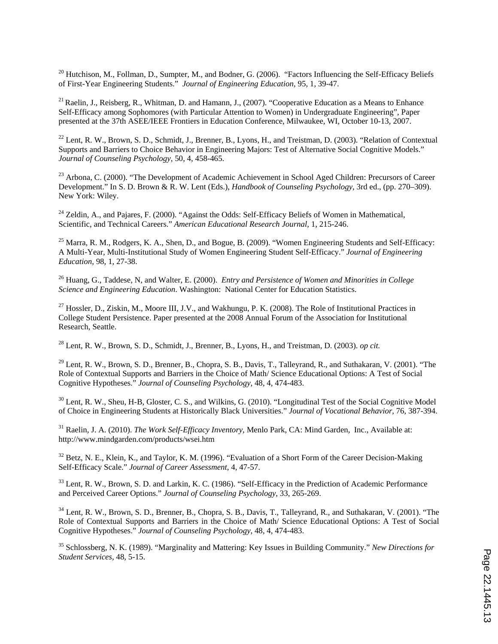$^{20}$  Hutchison, M., Follman, D., Sumpter, M., and Bodner, G. (2006). "Factors Influencing the Self-Efficacy Beliefs of First-Year Engineering Students." *Journal of Engineering Education*, 95, 1, 39-47.

 $^{21}$  Raelin, J., Reisberg, R., Whitman, D. and Hamann, J., (2007). "Cooperative Education as a Means to Enhance Self-Efficacy among Sophomores (with Particular Attention to Women) in Undergraduate Engineering", Paper presented at the 37th ASEE/IEEE Frontiers in Education Conference, Milwaukee, WI, October 10-13, 2007.

<sup>22</sup> Lent, R. W., Brown, S. D., Schmidt, J., Brenner, B., Lyons, H., and Treistman, D. (2003). "Relation of Contextual Supports and Barriers to Choice Behavior in Engineering Majors: Test of Alternative Social Cognitive Models." *Journal of Counseling Psychology*, 50, 4, 458-465.

<sup>23</sup> Arbona, C. (2000). "The Development of Academic Achievement in School Aged Children: Precursors of Career Development." In S. D. Brown & R. W. Lent (Eds.), *Handbook of Counseling Psychology*, 3rd ed., (pp. 270–309). New York: Wiley.

 $^{24}$  Zeldin, A., and Pajares, F. (2000). "Against the Odds: Self-Efficacy Beliefs of Women in Mathematical, Scientific, and Technical Careers." *American Educational Research Journal*, 1, 215-246.

<sup>25</sup> Marra, R. M., Rodgers, K. A., Shen, D., and Bogue, B. (2009). "Women Engineering Students and Self-Efficacy: A Multi-Year, Multi-Institutional Study of Women Engineering Student Self-Efficacy." *Journal of Engineering Education*, 98, 1, 27-38.

26 Huang, G., Taddese, N, and Walter, E. (2000). *Entry and Persistence of Women and Minorities in College Science and Engineering Education*. Washington: National Center for Education Statistics.

<sup>27</sup> Hossler, D., Ziskin, M., Moore III, J.V., and Wakhungu, P. K. (2008). The Role of Institutional Practices in College Student Persistence. Paper presented at the 2008 Annual Forum of the Association for Institutional Research, Seattle.

28 Lent, R. W., Brown, S. D., Schmidt, J., Brenner, B., Lyons, H., and Treistman, D. (2003). *op cit.*

<sup>29</sup> Lent, R. W., Brown, S. D., Brenner, B., Chopra, S. B., Davis, T., Talleyrand, R., and Suthakaran, V. (2001). "The Role of Contextual Supports and Barriers in the Choice of Math/ Science Educational Options: A Test of Social Cognitive Hypotheses." *Journal of Counseling Psychology*, 48, 4, 474-483.

<sup>30</sup> Lent, R. W., Sheu, H-B, Gloster, C. S., and Wilkins, G. (2010). "Longitudinal Test of the Social Cognitive Model of Choice in Engineering Students at Historically Black Universities." *Journal of Vocational Behavior*, 76, 387-394.

<sup>31</sup> Raelin, J. A. (2010). *The Work Self-Efficacy Inventory*, Menlo Park, CA: Mind Garden, Inc., Available at: http://www.mindgarden.com/products/wsei.htm

<sup>32</sup> Betz, N. E., Klein, K., and Taylor, K. M. (1996). "Evaluation of a Short Form of the Career Decision-Making Self-Efficacy Scale." *Journal of Career Assessment*, 4, 47-57.

<sup>33</sup> Lent, R. W., Brown, S. D. and Larkin, K. C. (1986). "Self-Efficacy in the Prediction of Academic Performance and Perceived Career Options." *Journal of Counseling Psychology*, 33, 265-269.

<sup>34</sup> Lent, R. W., Brown, S. D., Brenner, B., Chopra, S. B., Davis, T., Talleyrand, R., and Suthakaran, V. (2001). "The Role of Contextual Supports and Barriers in the Choice of Math/ Science Educational Options: A Test of Social Cognitive Hypotheses." *Journal of Counseling Psychology*, 48, 4, 474-483.

35 Schlossberg, N. K. (1989). "Marginality and Mattering: Key Issues in Building Community." *New Directions for Student Services*, 48, 5-15.